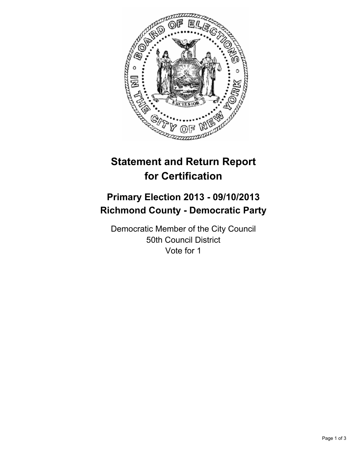

# **Statement and Return Report for Certification**

## **Primary Election 2013 - 09/10/2013 Richmond County - Democratic Party**

Democratic Member of the City Council 50th Council District Vote for 1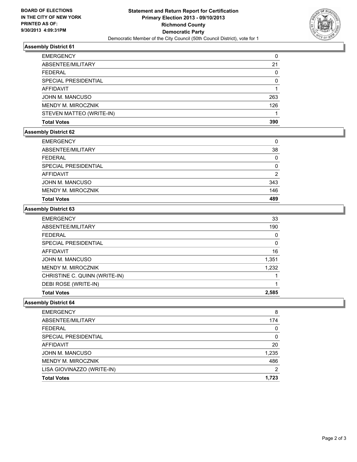

### **Assembly District 61**

| <b>EMERGENCY</b>          | 0        |
|---------------------------|----------|
| ABSENTEE/MILITARY         | 21       |
| <b>FEDERAL</b>            | 0        |
| SPECIAL PRESIDENTIAL      | $\Omega$ |
| <b>AFFIDAVIT</b>          |          |
| JOHN M. MANCUSO           | 263      |
| <b>MENDY M. MIROCZNIK</b> | 126      |
| STEVEN MATTEO (WRITE-IN)  |          |
| <b>Total Votes</b>        | 390      |

#### **Assembly District 62**

| <b>Total Votes</b>   | 489      |
|----------------------|----------|
| MENDY M. MIROCZNIK   | 146      |
| JOHN M. MANCUSO      | 343      |
| AFFIDAVIT            | 2        |
| SPECIAL PRESIDENTIAL | $\Omega$ |
| <b>FEDERAL</b>       | 0        |
| ABSENTEE/MILITARY    | 38       |
| <b>EMERGENCY</b>     | 0        |

#### **Assembly District 63**

| <b>EMERGENCY</b>              | 33       |
|-------------------------------|----------|
| ABSENTEE/MILITARY             | 190      |
| <b>FEDERAL</b>                | $\Omega$ |
| SPECIAL PRESIDENTIAL          | 0        |
| AFFIDAVIT                     | 16       |
| JOHN M. MANCUSO               | 1,351    |
| <b>MENDY M. MIROCZNIK</b>     | 1.232    |
| CHRISTINE C. QUINN (WRITE-IN) |          |
| DEBI ROSE (WRITE-IN)          |          |
| <b>Total Votes</b>            | 2,585    |

#### **Assembly District 64**

| <b>EMERGENCY</b>           | 8     |
|----------------------------|-------|
| ABSENTEE/MILITARY          | 174   |
| <b>FEDERAL</b>             | 0     |
| SPECIAL PRESIDENTIAL       | 0     |
| <b>AFFIDAVIT</b>           | 20    |
| JOHN M. MANCUSO            | 1,235 |
| <b>MENDY M. MIROCZNIK</b>  | 486   |
| LISA GIOVINAZZO (WRITE-IN) | 2     |
| <b>Total Votes</b>         | 1.723 |